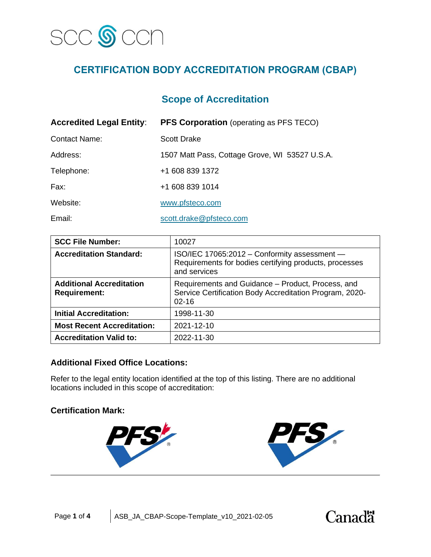

# **CERTIFICATION BODY ACCREDITATION PROGRAM (CBAP)**

# **Scope of Accreditation**

| <b>Accredited Legal Entity:</b> | <b>PFS Corporation</b> (operating as PFS TECO) |  |
|---------------------------------|------------------------------------------------|--|
| <b>Contact Name:</b>            | <b>Scott Drake</b>                             |  |
| Address:                        | 1507 Matt Pass, Cottage Grove, WI 53527 U.S.A. |  |
| Telephone:                      | +1 608 839 1372                                |  |
| Fax:                            | +1 608 839 1014                                |  |
| Website:                        | www.pfsteco.com                                |  |
| Email:                          | scott.drake@pfsteco.com                        |  |

| <b>SCC File Number:</b>                                | 10027                                                                                                                     |
|--------------------------------------------------------|---------------------------------------------------------------------------------------------------------------------------|
| <b>Accreditation Standard:</b>                         | ISO/IEC 17065:2012 - Conformity assessment -<br>Requirements for bodies certifying products, processes<br>and services    |
| <b>Additional Accreditation</b><br><b>Requirement:</b> | Requirements and Guidance - Product, Process, and<br>Service Certification Body Accreditation Program, 2020-<br>$02 - 16$ |
| <b>Initial Accreditation:</b>                          | 1998-11-30                                                                                                                |
| <b>Most Recent Accreditation:</b>                      | 2021-12-10                                                                                                                |
| <b>Accreditation Valid to:</b>                         | 2022-11-30                                                                                                                |

## **Additional Fixed Office Locations:**

Refer to the legal entity location identified at the top of this listing. There are no additional locations included in this scope of accreditation:

#### **Certification Mark:**



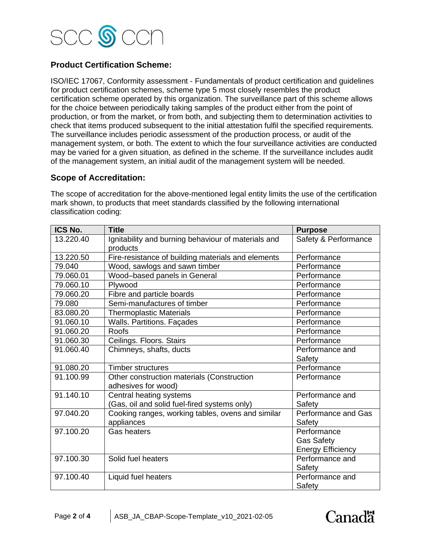

# **Product Certification Scheme:**

ISO/IEC 17067, Conformity assessment - Fundamentals of product certification and guidelines for product certification schemes, scheme type 5 most closely resembles the product certification scheme operated by this organization. The surveillance part of this scheme allows for the choice between periodically taking samples of the product either from the point of production, or from the market, or from both, and subjecting them to determination activities to check that items produced subsequent to the initial attestation fulfil the specified requirements. The surveillance includes periodic assessment of the production process, or audit of the management system, or both. The extent to which the four surveillance activities are conducted may be varied for a given situation, as defined in the scheme. If the surveillance includes audit of the management system, an initial audit of the management system will be needed.

#### **Scope of Accreditation:**

The scope of accreditation for the above-mentioned legal entity limits the use of the certification mark shown, to products that meet standards classified by the following international classification coding:

| ICS No.   | <b>Title</b>                                                    | <b>Purpose</b>           |
|-----------|-----------------------------------------------------------------|--------------------------|
| 13.220.40 | Ignitability and burning behaviour of materials and<br>products | Safety & Performance     |
| 13.220.50 | Fire-resistance of building materials and elements              | Performance              |
| 79.040    | Wood, sawlogs and sawn timber                                   | Performance              |
| 79.060.01 | Wood-based panels in General                                    | Performance              |
| 79.060.10 | Plywood                                                         | Performance              |
| 79.060.20 | Fibre and particle boards                                       | Performance              |
| 79.080    | Semi-manufactures of timber                                     | Performance              |
| 83.080.20 | <b>Thermoplastic Materials</b>                                  | Performance              |
| 91.060.10 | Walls. Partitions. Façades                                      | Performance              |
| 91.060.20 | Roofs                                                           | Performance              |
| 91.060.30 | Ceilings. Floors. Stairs                                        | Performance              |
| 91.060.40 | Chimneys, shafts, ducts                                         | Performance and          |
|           |                                                                 | Safety                   |
| 91.080.20 | <b>Timber structures</b>                                        | Performance              |
| 91.100.99 | Other construction materials (Construction                      | Performance              |
|           | adhesives for wood)                                             |                          |
| 91.140.10 | Central heating systems                                         | Performance and          |
|           | (Gas, oil and solid fuel-fired systems only)                    | Safety                   |
| 97.040.20 | Cooking ranges, working tables, ovens and similar               | Performance and Gas      |
|           | appliances                                                      | Safety                   |
| 97.100.20 | <b>Gas heaters</b>                                              | Performance              |
|           |                                                                 | <b>Gas Safety</b>        |
|           |                                                                 | <b>Energy Efficiency</b> |
| 97.100.30 | Solid fuel heaters                                              | Performance and          |
|           |                                                                 | Safety                   |
| 97.100.40 | Liquid fuel heaters                                             | Performance and          |
|           |                                                                 | Safety                   |

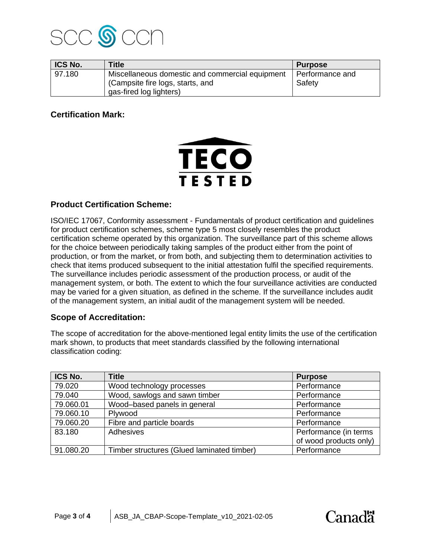

| ICS No. | <b>Title</b>                                                                                                   | <b>Purpose</b>            |
|---------|----------------------------------------------------------------------------------------------------------------|---------------------------|
| 97.180  | Miscellaneous domestic and commercial equipment<br>(Campsite fire logs, starts, and<br>gas-fired log lighters) | Performance and<br>Safety |

## **Certification Mark:**



### **Product Certification Scheme:**

ISO/IEC 17067, Conformity assessment - Fundamentals of product certification and guidelines for product certification schemes, scheme type 5 most closely resembles the product certification scheme operated by this organization. The surveillance part of this scheme allows for the choice between periodically taking samples of the product either from the point of production, or from the market, or from both, and subjecting them to determination activities to check that items produced subsequent to the initial attestation fulfil the specified requirements. The surveillance includes periodic assessment of the production process, or audit of the management system, or both. The extent to which the four surveillance activities are conducted may be varied for a given situation, as defined in the scheme. If the surveillance includes audit of the management system, an initial audit of the management system will be needed.

#### **Scope of Accreditation:**

The scope of accreditation for the above-mentioned legal entity limits the use of the certification mark shown, to products that meet standards classified by the following international classification coding:

| ICS No.   | <b>Title</b>                               | <b>Purpose</b>         |
|-----------|--------------------------------------------|------------------------|
| 79.020    | Wood technology processes                  | Performance            |
| 79.040    | Wood, sawlogs and sawn timber              | Performance            |
| 79.060.01 | Wood-based panels in general               | Performance            |
| 79.060.10 | Plywood                                    | Performance            |
| 79.060.20 | Fibre and particle boards                  | Performance            |
| 83.180    | Adhesives                                  | Performance (in terms  |
|           |                                            | of wood products only) |
| 91.080.20 | Timber structures (Glued laminated timber) | Performance            |